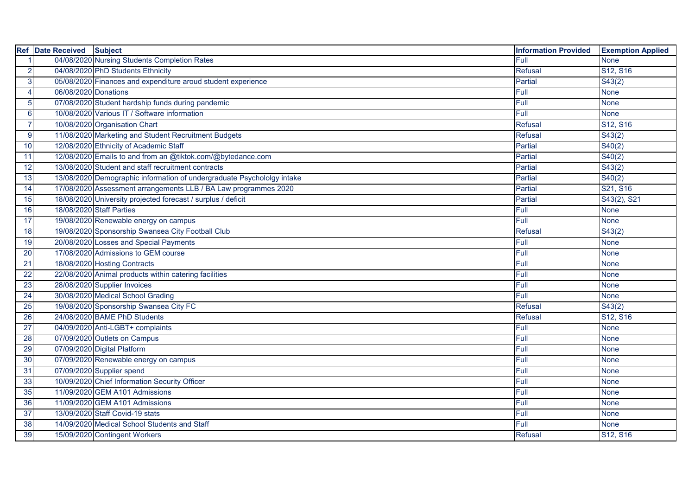| <b>Ref</b> | Date Received Subject |                                                                        | <b>Information Provided</b> | <b>Exemption Applied</b>          |
|------------|-----------------------|------------------------------------------------------------------------|-----------------------------|-----------------------------------|
|            |                       | 04/08/2020 Nursing Students Completion Rates                           | Full                        | <b>None</b>                       |
|            |                       | 04/08/2020 PhD Students Ethnicity                                      | Refusal                     | S <sub>12</sub> , S <sub>16</sub> |
| 3          |                       | 05/08/2020 Finances and expenditure aroud student experience           | Partial                     | S43(2)                            |
|            | 06/08/2020 Donations  |                                                                        | Full                        | <b>None</b>                       |
|            |                       | 07/08/2020 Student hardship funds during pandemic                      | Full                        | <b>None</b>                       |
|            |                       | 10/08/2020 Various IT / Software information                           | Full                        | <b>None</b>                       |
|            |                       | 10/08/2020 Organisation Chart                                          | <b>Refusal</b>              | S <sub>12</sub> , S <sub>16</sub> |
| 9          |                       | 11/08/2020 Marketing and Student Recruitment Budgets                   | <b>Refusal</b>              | $\overline{S}43(2)$               |
| 10         |                       | 12/08/2020 Ethnicity of Academic Staff                                 | Partial                     | S40(2)                            |
| 11         |                       | 12/08/2020 Emails to and from an @tiktok.com/@bytedance.com            | Partial                     | S40(2)                            |
| 12         |                       | 13/08/2020 Student and staff recruitment contracts                     | Partial                     | $\overline{S43(2)}$               |
| 13         |                       | 13/08/2020 Demographic information of undergraduate Psychololgy intake | Partial                     | S40(2)                            |
| 14         |                       | 17/08/2020 Assessment arrangements LLB / BA Law programmes 2020        | Partial                     | S21, S16                          |
| 15         |                       | 18/08/2020 University projected forecast / surplus / deficit           | <b>Partial</b>              | S43(2), S21                       |
| 16         |                       | 18/08/2020 Staff Parties                                               | Full                        | <b>None</b>                       |
| 17         |                       | 19/08/2020 Renewable energy on campus                                  | Full                        | <b>None</b>                       |
| 18         |                       | 19/08/2020 Sponsorship Swansea City Football Club                      | Refusal                     | S43(2)                            |
| 19         |                       | 20/08/2020 Losses and Special Payments                                 | Full                        | <b>None</b>                       |
| 20         |                       | 17/08/2020 Admissions to GEM course                                    | Full                        | <b>None</b>                       |
| 21         |                       | 18/08/2020 Hosting Contracts                                           | Full                        | <b>None</b>                       |
| 22         |                       | 22/08/2020 Animal products within catering facilities                  | Full                        | <b>None</b>                       |
| 23         |                       | 28/08/2020 Supplier Invoices                                           | Full                        | <b>None</b>                       |
| 24         |                       | 30/08/2020 Medical School Grading                                      | Full                        | <b>None</b>                       |
| 25         |                       | 19/08/2020 Sponsorship Swansea City FC                                 | <b>Refusal</b>              | S43(2)                            |
| 26         |                       | 24/08/2020 BAME PhD Students                                           | <b>Refusal</b>              | $\overline{S12}$ , S16            |
| 27         |                       | 04/09/2020 Anti-LGBT+ complaints                                       | Full                        | <b>None</b>                       |
| 28         |                       | 07/09/2020 Outlets on Campus                                           | Full                        | <b>None</b>                       |
| 29         |                       | 07/09/2020 Digital Platform                                            | Full                        | <b>None</b>                       |
| 30         |                       | 07/09/2020 Renewable energy on campus                                  | Full                        | <b>None</b>                       |
| 31         |                       | 07/09/2020 Supplier spend                                              | Full                        | <b>None</b>                       |
| 33         |                       | 10/09/2020 Chief Information Security Officer                          | Full                        | <b>None</b>                       |
| 35         |                       | 11/09/2020 GEM A101 Admissions                                         | Full                        | <b>None</b>                       |
| 36         |                       | 11/09/2020 GEM A101 Admissions                                         | Full                        | <b>None</b>                       |
| 37         |                       | 13/09/2020 Staff Covid-19 stats                                        | Full                        | <b>None</b>                       |
| 38         |                       | 14/09/2020 Medical School Students and Staff                           | Full                        | None                              |
| 39         |                       | 15/09/2020 Contingent Workers                                          | Refusal                     | S12, S16                          |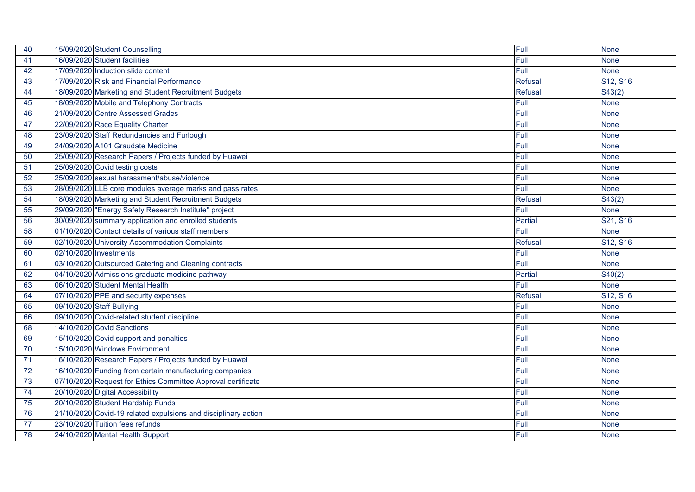| 40 | 15/09/2020 Student Counselling                                 | Full           | <b>None</b>                       |
|----|----------------------------------------------------------------|----------------|-----------------------------------|
| 41 | 16/09/2020 Student facilities                                  | Full           | <b>None</b>                       |
| 42 | 17/09/2020 Induction slide content                             | Full           | <b>None</b>                       |
| 43 | 17/09/2020 Risk and Financial Performance                      | <b>Refusal</b> | S12, S16                          |
| 44 | 18/09/2020 Marketing and Student Recruitment Budgets           | <b>Refusal</b> | S43(2)                            |
| 45 | 18/09/2020 Mobile and Telephony Contracts                      | Full           | <b>None</b>                       |
| 46 | 21/09/2020 Centre Assessed Grades                              | Full           | <b>None</b>                       |
| 47 | 22/09/2020 Race Equality Charter                               | Full           | <b>None</b>                       |
| 48 | 23/09/2020 Staff Redundancies and Furlough                     | Full           | <b>None</b>                       |
| 49 | 24/09/2020 A101 Graudate Medicine                              | Full           | <b>None</b>                       |
| 50 | 25/09/2020 Research Papers / Projects funded by Huawei         | Full           | <b>None</b>                       |
| 51 | 25/09/2020 Covid testing costs                                 | Full           | <b>None</b>                       |
| 52 | 25/09/2020 sexual harassment/abuse/violence                    | Full           | <b>None</b>                       |
| 53 | 28/09/2020 LLB core modules average marks and pass rates       | Full           | <b>None</b>                       |
| 54 | 18/09/2020 Marketing and Student Recruitment Budgets           | <b>Refusal</b> | S43(2)                            |
| 55 | 29/09/2020 "Energy Safety Research Institute" project          | Full           | <b>None</b>                       |
| 56 | 30/09/2020 summary application and enrolled students           | <b>Partial</b> | S <sub>21</sub> , S <sub>16</sub> |
| 58 | 01/10/2020 Contact details of various staff members            | Full           | <b>None</b>                       |
| 59 | 02/10/2020 University Accommodation Complaints                 | <b>Refusal</b> | S12, S16                          |
| 60 | 02/10/2020 Investments                                         | Full           | <b>None</b>                       |
| 61 | 03/10/2020 Outsourced Catering and Cleaning contracts          | Full           | <b>None</b>                       |
| 62 | 04/10/2020 Admissions graduate medicine pathway                | Partial        | S40(2)                            |
| 63 | 06/10/2020 Student Mental Health                               | Full           | <b>None</b>                       |
| 64 | 07/10/2020 PPE and security expenses                           | <b>Refusal</b> | S12, S16                          |
| 65 | 09/10/2020 Staff Bullying                                      | Full           | <b>None</b>                       |
| 66 | 09/10/2020 Covid-related student discipline                    | Full           | <b>None</b>                       |
| 68 | 14/10/2020 Covid Sanctions                                     | Full           | <b>None</b>                       |
| 69 | 15/10/2020 Covid support and penalties                         | Full           | <b>None</b>                       |
| 70 | 15/10/2020 Windows Environment                                 | Full           | <b>None</b>                       |
| 71 | 16/10/2020 Research Papers / Projects funded by Huawei         | Full           | <b>None</b>                       |
| 72 | 16/10/2020 Funding from certain manufacturing companies        | Full           | <b>None</b>                       |
| 73 | 07/10/2020 Request for Ethics Committee Approval certificate   | Full           | <b>None</b>                       |
| 74 | 20/10/2020 Digital Accessibility                               | Full           | <b>None</b>                       |
| 75 | 20/10/2020 Student Hardship Funds                              | Full           | <b>None</b>                       |
| 76 | 21/10/2020 Covid-19 related expulsions and disciplinary action | Full           | <b>None</b>                       |
| 77 | 23/10/2020 Tuition fees refunds                                | Full           | None                              |
| 78 | 24/10/2020 Mental Health Support                               | Full           | None                              |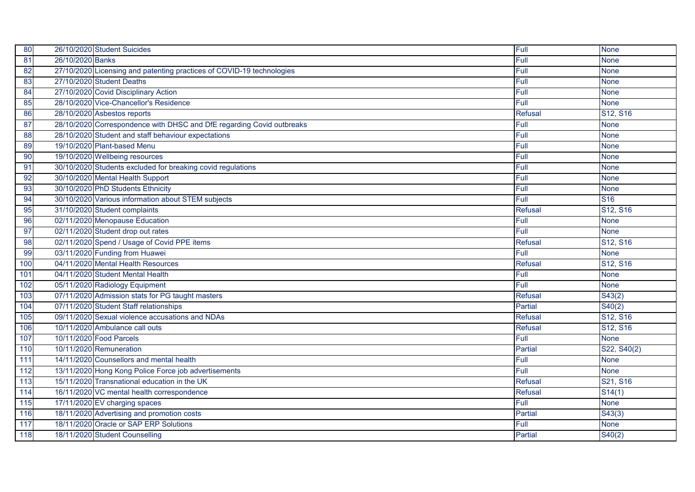| 80  |                  | 26/10/2020 Student Suicides                                           | Full           | <b>None</b>         |
|-----|------------------|-----------------------------------------------------------------------|----------------|---------------------|
| 81  | 26/10/2020 Banks |                                                                       | Full           | <b>None</b>         |
| 82  |                  | 27/10/2020 Licensing and patenting practices of COVID-19 technologies | Full           | <b>None</b>         |
| 83  |                  | 27/10/2020 Student Deaths                                             | Full           | <b>None</b>         |
| 84  |                  | 27/10/2020 Covid Disciplinary Action                                  | Full           | <b>None</b>         |
| 85  |                  | 28/10/2020 Vice-Chancellor's Residence                                | Full           | <b>None</b>         |
| 86  |                  | 28/10/2020 Asbestos reports                                           | Refusal        | S12, S16            |
| 87  |                  | 28/10/2020 Correspondence with DHSC and DfE regarding Covid outbreaks | Full           | <b>None</b>         |
| 88  |                  | 28/10/2020 Student and staff behaviour expectations                   | Full           | <b>None</b>         |
| 89  |                  | 19/10/2020 Plant-based Menu                                           | Full           | <b>None</b>         |
| 90  |                  | 19/10/2020 Wellbeing resources                                        | Full           | <b>None</b>         |
| 91  |                  | 30/10/2020 Students excluded for breaking covid regulations           | Full           | <b>None</b>         |
| 92  |                  | 30/10/2020 Mental Health Support                                      | Full           | <b>None</b>         |
| 93  |                  | 30/10/2020 PhD Students Ethnicity                                     | Full           | <b>None</b>         |
| 94  |                  | 30/10/2020 Various information about STEM subjects                    | Full           | <b>S16</b>          |
| 95  |                  | 31/10/2020 Student complaints                                         | <b>Refusal</b> | S12, S16            |
| 96  |                  | 02/11/2020 Menopause Education                                        | Full           | <b>None</b>         |
| 97  |                  | 02/11/2020 Student drop out rates                                     | Full           | <b>None</b>         |
| 98  |                  | 02/11/2020 Spend / Usage of Covid PPE items                           | <b>Refusal</b> | S12, S16            |
| 99  |                  | 03/11/2020 Funding from Huawei                                        | Full           | <b>None</b>         |
| 100 |                  | 04/11/2020 Mental Health Resources                                    | Refusal        | S12, S16            |
| 101 |                  | 04/11/2020 Student Mental Health                                      | Full           | <b>None</b>         |
| 102 |                  | 05/11/2020 Radiology Equipment                                        | Full           | <b>None</b>         |
| 103 |                  | 07/11/2020 Admission stats for PG taught masters                      | <b>Refusal</b> | S43(2)              |
| 104 |                  | 07/11/2020 Student Staff relationships                                | Partial        | S40(2)              |
| 105 |                  | 09/11/2020 Sexual violence accusations and NDAs                       | Refusal        | S12, S16            |
| 106 |                  | 10/11/2020 Ambulance call outs                                        | Refusal        | S12, S16            |
| 107 |                  | 10/11/2020 Food Parcels                                               | Full           | <b>None</b>         |
| 110 |                  | 10/11/2020 Remuneration                                               | <b>Partial</b> | S22, S40(2)         |
| 111 |                  | 14/11/2020 Counsellors and mental health                              | Full           | <b>None</b>         |
| 112 |                  | 13/11/2020 Hong Kong Police Force job advertisements                  | Full           | <b>None</b>         |
| 113 |                  | 15/11/2020 Transnational education in the UK                          | <b>Refusal</b> | S21, S16            |
| 114 |                  | 16/11/2020 VC mental health correspondence                            | Refusal        | $\overline{S14(1)}$ |
| 115 |                  | 17/11/2020 EV charging spaces                                         | Full           | <b>None</b>         |
| 116 |                  | 18/11/2020 Advertising and promotion costs                            | Partial        | S43(3)              |
| 117 |                  | 18/11/2020 Oracle or SAP ERP Solutions                                | Full           | None                |
| 118 |                  | 18/11/2020 Student Counselling                                        | <b>Partial</b> | $\overline{S}40(2)$ |
|     |                  |                                                                       |                |                     |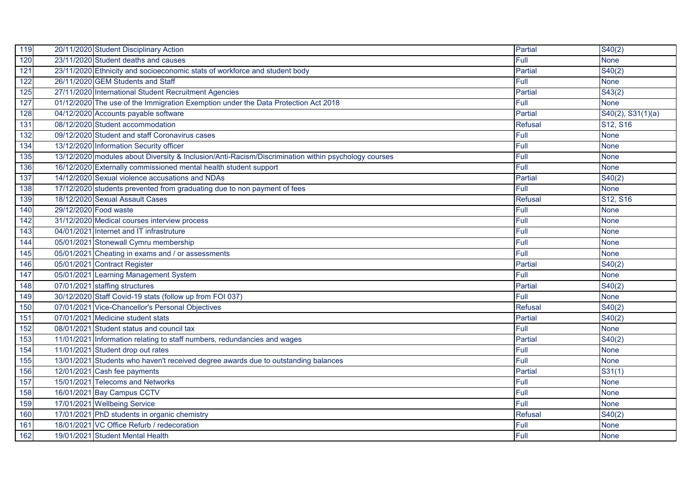| 119 | 20/11/2020 Student Disciplinary Action                                                              | Partial        | S40(2)                            |
|-----|-----------------------------------------------------------------------------------------------------|----------------|-----------------------------------|
| 120 | 23/11/2020 Student deaths and causes                                                                | Full           | <b>None</b>                       |
| 121 | 23/11/2020 Ethnicity and socioeconomic stats of workforce and student body                          | <b>Partial</b> | S40(2)                            |
| 122 | 26/11/2020 GEM Students and Staff                                                                   | Full           | <b>None</b>                       |
| 125 | 27/11/2020 International Student Recruitment Agencies                                               | Partial        | S43(2)                            |
| 127 | 01/12/2020 The use of the Immigration Exemption under the Data Protection Act 2018                  | Full           | <b>None</b>                       |
| 128 | 04/12/2020 Accounts payable software                                                                | <b>Partial</b> | $S40(2)$ , $S31(1)(a)$            |
| 131 | 08/12/2020 Student accommodation                                                                    | <b>Refusal</b> | S <sub>12</sub> , S <sub>16</sub> |
| 132 | 09/12/2020 Student and staff Coronavirus cases                                                      | Full           | <b>None</b>                       |
| 134 | 13/12/2020 Information Security officer                                                             | Full           | <b>None</b>                       |
| 135 | 13/12/2020 modules about Diversity & Inclusion/Anti-Racism/Discrimination within psychology courses | Full           | <b>None</b>                       |
| 136 | 16/12/2020 Externally commissioned mental health student support                                    | Full           | <b>None</b>                       |
| 137 | 14/12/2020 Sexual violence accusations and NDAs                                                     | Partial        | S40(2)                            |
| 138 | 17/12/2020 students prevented from graduating due to non payment of fees                            | Full           | <b>None</b>                       |
| 139 | 18/12/2020 Sexual Assault Cases                                                                     | Refusal        | S12, S16                          |
| 140 | 29/12/2020 Food waste                                                                               | Full           | <b>None</b>                       |
| 142 | 31/12/2020 Medical courses interview process                                                        | Full           | <b>None</b>                       |
| 143 | 04/01/2021 Internet and IT infrastruture                                                            | Full           | <b>None</b>                       |
| 144 | 05/01/2021 Stonewall Cymru membership                                                               | Full           | <b>None</b>                       |
| 145 | 05/01/2021 Cheating in exams and / or assessments                                                   | Full           | <b>None</b>                       |
| 146 | 05/01/2021 Contract Register                                                                        | <b>Partial</b> | S40(2)                            |
| 147 | 05/01/2021 Learning Management System                                                               | Full           | <b>None</b>                       |
| 148 | 07/01/2021 staffing structures                                                                      | <b>Partial</b> | S40(2)                            |
| 149 | 30/12/2020 Staff Covid-19 stats (follow up from FOI 037)                                            | Full           | <b>None</b>                       |
| 150 | 07/01/2021 Vice-Chancellor's Personal Objectives                                                    | <b>Refusal</b> | S40(2)                            |
| 151 | 07/01/2021 Medicine student stats                                                                   | <b>Partial</b> | S40(2)                            |
| 152 | 08/01/2021 Student status and council tax                                                           | Full           | <b>None</b>                       |
| 153 | 11/01/2021 Information relating to staff numbers, redundancies and wages                            | <b>Partial</b> | S40(2)                            |
| 154 | 11/01/2021 Student drop out rates                                                                   | Full           | <b>None</b>                       |
| 155 | 13/01/2021 Students who haven't received degree awards due to outstanding balances                  | Full           | <b>None</b>                       |
| 156 | 12/01/2021 Cash fee payments                                                                        | Partial        | S31(1)                            |
| 157 | 15/01/2021 Telecoms and Networks                                                                    | Full           | <b>None</b>                       |
| 158 | 16/01/2021 Bay Campus CCTV                                                                          | Full           | <b>None</b>                       |
| 159 | 17/01/2021 Wellbeing Service                                                                        | Full           | <b>None</b>                       |
| 160 | 17/01/2021 PhD students in organic chemistry                                                        | <b>Refusal</b> | S40(2)                            |
| 161 | 18/01/2021 VC Office Refurb / redecoration                                                          | Full           | None                              |
| 162 | 19/01/2021 Student Mental Health                                                                    | Full           | None                              |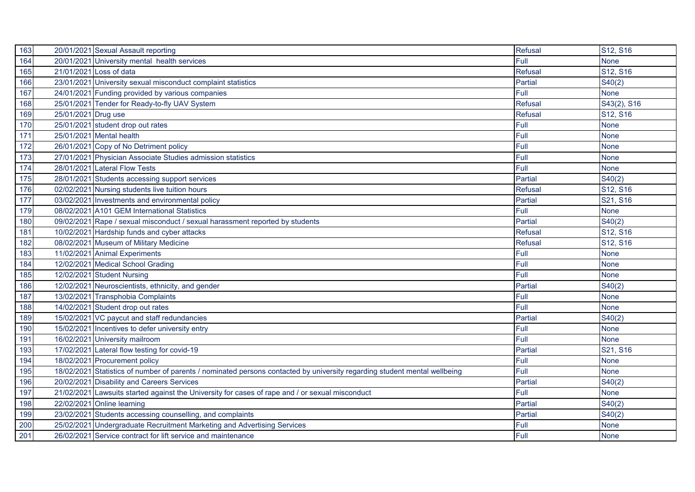| 163 | 20/01/2021 Sexual Assault reporting                                                                                       | Refusal        | S12, S16    |
|-----|---------------------------------------------------------------------------------------------------------------------------|----------------|-------------|
| 164 | 20/01/2021 University mental health services                                                                              | Full           | <b>None</b> |
| 165 | 21/01/2021 Loss of data                                                                                                   | <b>Refusal</b> | S12, S16    |
| 166 | 23/01/2021 University sexual misconduct complaint statistics                                                              | Partial        | S40(2)      |
| 167 | 24/01/2021 Funding provided by various companies                                                                          | Full           | <b>None</b> |
| 168 | 25/01/2021 Tender for Ready-to-fly UAV System                                                                             | <b>Refusal</b> | S43(2), S16 |
| 169 | 25/01/2021 Drug use                                                                                                       | <b>Refusal</b> | S12, S16    |
| 170 | 25/01/2021 student drop out rates                                                                                         | Full           | <b>None</b> |
| 171 | 25/01/2021 Mental health                                                                                                  | Full           | <b>None</b> |
| 172 | 26/01/2021 Copy of No Detriment policy                                                                                    | Full           | <b>None</b> |
| 173 | 27/01/2021 Physician Associate Studies admission statistics                                                               | Full           | <b>None</b> |
| 174 | 28/01/2021 Lateral Flow Tests                                                                                             | Full           | <b>None</b> |
| 175 | 28/01/2021 Students accessing support services                                                                            | Partial        | S40(2)      |
| 176 | 02/02/2021 Nursing students live tuition hours                                                                            | <b>Refusal</b> | S12, S16    |
| 177 | 03/02/2021 Investments and environmental policy                                                                           | Partial        | S21, S16    |
| 179 | 08/02/2021 A101 GEM International Statistics                                                                              | Full           | <b>None</b> |
| 180 | 09/02/2021 Rape / sexual misconduct / sexual harassment reported by students                                              | <b>Partial</b> | S40(2)      |
| 181 | 10/02/2021 Hardship funds and cyber attacks                                                                               | <b>Refusal</b> | S12, S16    |
| 182 | 08/02/2021 Museum of Military Medicine                                                                                    | <b>Refusal</b> | S12, S16    |
| 183 | 11/02/2021 Animal Experiments                                                                                             | Full           | <b>None</b> |
| 184 | 12/02/2021 Medical School Grading                                                                                         | Full           | <b>None</b> |
| 185 | 12/02/2021 Student Nursing                                                                                                | Full           | <b>None</b> |
| 186 | 12/02/2021 Neuroscientists, ethnicity, and gender                                                                         | Partial        | S40(2)      |
| 187 | 13/02/2021 Transphobia Complaints                                                                                         | Full           | <b>None</b> |
| 188 | 14/02/2021 Student drop out rates                                                                                         | Full           | <b>None</b> |
| 189 | 15/02/2021 VC paycut and staff redundancies                                                                               | <b>Partial</b> | S40(2)      |
| 190 | 15/02/2021 Incentives to defer university entry                                                                           | Full           | <b>None</b> |
| 191 | 16/02/2021 University mailroom                                                                                            | Full           | <b>None</b> |
| 193 | 17/02/2021 Lateral flow testing for covid-19                                                                              | Partial        | S21, S16    |
| 194 | 18/02/2021 Procurement policy                                                                                             | Full           | <b>None</b> |
| 195 | 18/02/2021 Statistics of number of parents / nominated persons contacted by university regarding student mental wellbeing | Full           | <b>None</b> |
| 196 | 20/02/2021 Disability and Careers Services                                                                                | Partial        | S40(2)      |
| 197 | 21/02/2021 Lawsuits started against the University for cases of rape and / or sexual misconduct                           | Full           | <b>None</b> |
| 198 | 22/02/2021 Online learning                                                                                                | Partial        | S40(2)      |
| 199 | 23/02/2021 Students accessing counselling, and complaints                                                                 | Partial        | S40(2)      |
| 200 | 25/02/2021 Undergraduate Recruitment Marketing and Advertising Services                                                   | Full           | None        |
| 201 | 26/02/2021 Service contract for lift service and maintenance                                                              | Full           | None        |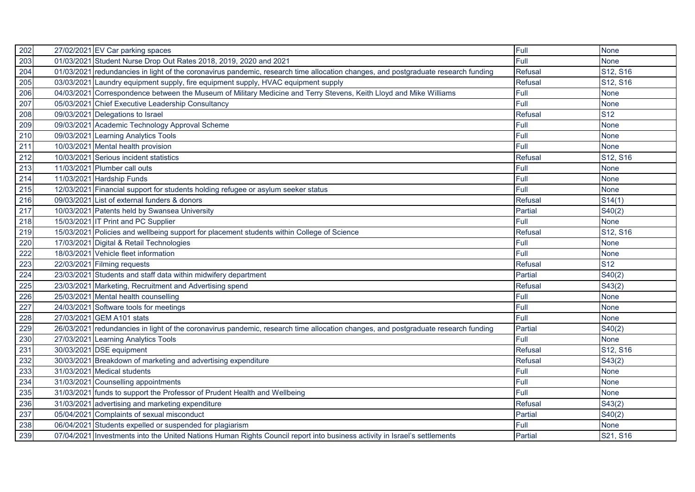| 202 | 27/02/2021 EV Car parking spaces                                                                                                  | Full           | <b>None</b> |
|-----|-----------------------------------------------------------------------------------------------------------------------------------|----------------|-------------|
| 203 | 01/03/2021 Student Nurse Drop Out Rates 2018, 2019, 2020 and 2021                                                                 | Full           | <b>None</b> |
| 204 | 01/03/2021 redundancies in light of the coronavirus pandemic, research time allocation changes, and postgraduate research funding | <b>Refusal</b> | S12, S16    |
| 205 | 03/03/2021 Laundry equipment supply, fire equipment supply, HVAC equipment supply                                                 | <b>Refusal</b> | S12, S16    |
| 206 | 04/03/2021 Correspondence between the Museum of Military Medicine and Terry Stevens, Keith Lloyd and Mike Williams                | Full           | <b>None</b> |
| 207 | 05/03/2021 Chief Executive Leadership Consultancy                                                                                 | Full           | <b>None</b> |
| 208 | 09/03/2021 Delegations to Israel                                                                                                  | Refusal        | <b>S12</b>  |
| 209 | 09/03/2021 Academic Technology Approval Scheme                                                                                    | Full           | <b>None</b> |
| 210 | 09/03/2021 Learning Analytics Tools                                                                                               | Full           | <b>None</b> |
| 211 | 10/03/2021 Mental health provision                                                                                                | Full           | <b>None</b> |
| 212 | 10/03/2021 Serious incident statistics                                                                                            | <b>Refusal</b> | S12, S16    |
| 213 | 11/03/2021 Plumber call outs                                                                                                      | Full           | <b>None</b> |
| 214 | 11/03/2021 Hardship Funds                                                                                                         | Full           | <b>None</b> |
| 215 | 12/03/2021 Financial support for students holding refugee or asylum seeker status                                                 | Full           | <b>None</b> |
| 216 | 09/03/2021 List of external funders & donors                                                                                      | Refusal        | S14(1)      |
| 217 | 10/03/2021 Patents held by Swansea University                                                                                     | <b>Partial</b> | S40(2)      |
| 218 | 15/03/2021 IT Print and PC Supplier                                                                                               | Full           | <b>None</b> |
| 219 | 15/03/2021 Policies and wellbeing support for placement students within College of Science                                        | Refusal        | S12, S16    |
| 220 | 17/03/2021 Digital & Retail Technologies                                                                                          | Full           | <b>None</b> |
| 222 | 18/03/2021 Vehicle fleet information                                                                                              | Full           | <b>None</b> |
| 223 | 22/03/2021 Filming requests                                                                                                       | Refusal        | <b>S12</b>  |
| 224 | 23/03/2021 Students and staff data within midwifery department                                                                    | <b>Partial</b> | S40(2)      |
| 225 | 23/03/2021 Marketing, Recruitment and Advertising spend                                                                           | Refusal        | S43(2)      |
| 226 | 25/03/2021 Mental health counselling                                                                                              | Full           | <b>None</b> |
| 227 | 24/03/2021 Software tools for meetings                                                                                            | Full           | <b>None</b> |
| 228 | 27/03/2021 GEM A101 stats                                                                                                         | Full           | <b>None</b> |
| 229 | 26/03/2021 redundancies in light of the coronavirus pandemic, research time allocation changes, and postgraduate research funding | <b>Partial</b> | S40(2)      |
| 230 | 27/03/2021 Learning Analytics Tools                                                                                               | Full           | <b>None</b> |
| 231 | 30/03/2021 DSE equipment                                                                                                          | <b>Refusal</b> | S12, S16    |
| 232 | 30/03/2021 Breakdown of marketing and advertising expenditure                                                                     | <b>Refusal</b> | S43(2)      |
| 233 | 31/03/2021 Medical students                                                                                                       | Full           | <b>None</b> |
| 234 | 31/03/2021 Counselling appointments                                                                                               | Full           | <b>None</b> |
| 235 | 31/03/2021 funds to support the Professor of Prudent Health and Wellbeing                                                         | Full           | <b>None</b> |
| 236 | 31/03/2021 advertising and marketing expenditure                                                                                  | <b>Refusal</b> | S43(2)      |
| 237 | 05/04/2021 Complaints of sexual misconduct                                                                                        | Partial        | S40(2)      |
| 238 | 06/04/2021 Students expelled or suspended for plagiarism                                                                          | Full           | <b>None</b> |
| 239 | 07/04/2021 Investments into the United Nations Human Rights Council report into business activity in Israel's settlements         | Partial        | S21, S16    |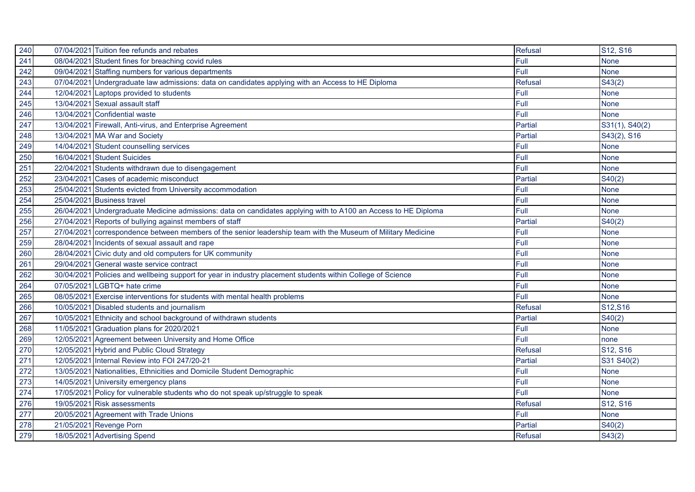| 240 | 07/04/2021 Tuition fee refunds and rebates                                                                     | <b>Refusal</b> | S12, S16       |
|-----|----------------------------------------------------------------------------------------------------------------|----------------|----------------|
| 241 | 08/04/2021 Student fines for breaching covid rules                                                             | Full           | <b>None</b>    |
| 242 | 09/04/2021 Staffing numbers for various departments                                                            | Full           | <b>None</b>    |
| 243 | 07/04/2021 Undergraduate law admissions: data on candidates applying with an Access to HE Diploma              | <b>Refusal</b> | S43(2)         |
| 244 | 12/04/2021 Laptops provided to students                                                                        | Full           | <b>None</b>    |
| 245 | 13/04/2021 Sexual assault staff                                                                                | Full           | <b>None</b>    |
| 246 | 13/04/2021 Confidential waste                                                                                  | Full           | <b>None</b>    |
| 247 | 13/04/2021 Firewall, Anti-virus, and Enterprise Agreement                                                      | <b>Partial</b> | S31(1), S40(2) |
| 248 | 13/04/2021 MA War and Society                                                                                  | Partial        | S43(2), S16    |
| 249 | 14/04/2021 Student counselling services                                                                        | Full           | <b>None</b>    |
| 250 | 16/04/2021 Student Suicides                                                                                    | Full           | <b>None</b>    |
| 251 | 22/04/2021 Students withdrawn due to disengagement                                                             | Full           | <b>None</b>    |
| 252 | 23/04/2021 Cases of academic misconduct                                                                        | <b>Partial</b> | S40(2)         |
| 253 | 25/04/2021 Students evicted from University accommodation                                                      | Full           | <b>None</b>    |
| 254 | 25/04/2021 Business travel                                                                                     | Full           | <b>None</b>    |
| 255 | 26/04/2021 Undergraduate Medicine admissions: data on candidates applying with to A100 an Access to HE Diploma | Full           | <b>None</b>    |
| 256 | 27/04/2021 Reports of bullying against members of staff                                                        | <b>Partial</b> | S40(2)         |
| 257 | 27/04/2021 correspondence between members of the senior leadership team with the Museum of Military Medicine   | Full           | <b>None</b>    |
| 259 | 28/04/2021 Incidents of sexual assault and rape                                                                | Full           | <b>None</b>    |
| 260 | 28/04/2021 Civic duty and old computers for UK community                                                       | Full           | <b>None</b>    |
| 261 | 29/04/2021 General waste service contract                                                                      | Full           | <b>None</b>    |
| 262 | 30/04/2021 Policies and wellbeing support for year in industry placement students within College of Science    | Full           | <b>None</b>    |
| 264 | 07/05/2021 LGBTQ+ hate crime                                                                                   | Full           | <b>None</b>    |
| 265 | 08/05/2021 Exercise interventions for students with mental health problems                                     | Full           | <b>None</b>    |
| 266 | 10/05/2021 Disabled students and journalism                                                                    | Refusal        | S12,S16        |
| 267 | 10/05/2021 Ethnicity and school background of withdrawn students                                               | Partial        | S40(2)         |
| 268 | 11/05/2021 Graduation plans for 2020/2021                                                                      | Full           | <b>None</b>    |
| 269 | 12/05/2021 Agreement between University and Home Office                                                        | Full           | none           |
| 270 | 12/05/2021 Hybrid and Public Cloud Strategy                                                                    | <b>Refusal</b> | S12, S16       |
| 271 | 12/05/2021 Internal Review into FOI 247/20-21                                                                  | Partial        | S31 S40(2)     |
| 272 | 13/05/2021 Nationalities, Ethnicities and Domicile Student Demographic                                         | Full           | <b>None</b>    |
| 273 | 14/05/2021 University emergency plans                                                                          | Full           | <b>None</b>    |
| 274 | 17/05/2021 Policy for vulnerable students who do not speak up/struggle to speak                                | Full           | <b>None</b>    |
| 276 | 19/05/2021 Risk assessments                                                                                    | Refusal        | S12, S16       |
| 277 | 20/05/2021 Agreement with Trade Unions                                                                         | Full           | <b>None</b>    |
| 278 | 21/05/2021 Revenge Porn                                                                                        | Partial        | S40(2)         |
| 279 | 18/05/2021 Advertising Spend                                                                                   | <b>Refusal</b> | S43(2)         |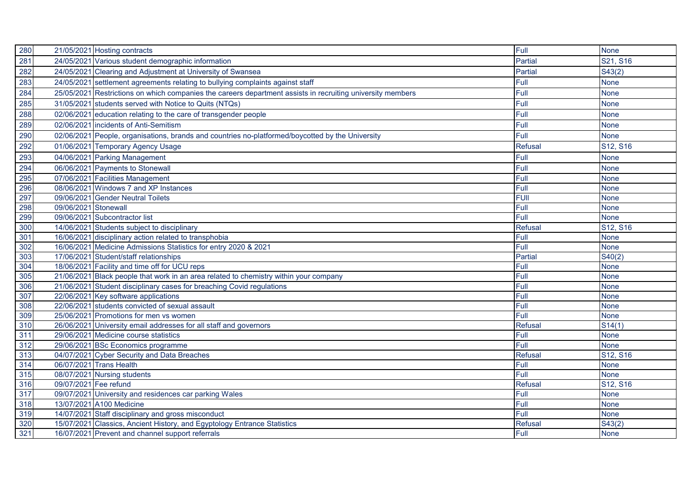| 280 |                       | 21/05/2021 Hosting contracts                                                                               | Full           | <b>None</b> |
|-----|-----------------------|------------------------------------------------------------------------------------------------------------|----------------|-------------|
| 281 |                       | 24/05/2021 Various student demographic information                                                         | Partial        | S21, S16    |
| 282 |                       | 24/05/2021 Clearing and Adjustment at University of Swansea                                                | <b>Partial</b> | S43(2)      |
| 283 |                       | 24/05/2021 settlement agreements relating to bullying complaints against staff                             | Full           | <b>None</b> |
| 284 |                       | 25/05/2021 Restrictions on which companies the careers department assists in recruiting university members | Full           | <b>None</b> |
| 285 |                       | 31/05/2021 students served with Notice to Quits (NTQs)                                                     | Full           | <b>None</b> |
| 288 |                       | 02/06/2021 education relating to the care of transgender people                                            | Full           | <b>None</b> |
| 289 |                       | 02/06/2021 incidents of Anti-Semitism                                                                      | Full           | <b>None</b> |
| 290 |                       | 02/06/2021 People, organisations, brands and countries no-platformed/boycotted by the University           | Full           | <b>None</b> |
| 292 |                       | 01/06/2021 Temporary Agency Usage                                                                          | <b>Refusal</b> | S12, S16    |
| 293 |                       | 04/06/2021 Parking Management                                                                              | Full           | <b>None</b> |
| 294 |                       | 06/06/2021 Payments to Stonewall                                                                           | Full           | <b>None</b> |
| 295 |                       | 07/06/2021 Facilities Management                                                                           | Full           | <b>None</b> |
| 296 |                       | 08/06/2021 Windows 7 and XP Instances                                                                      | Full           | <b>None</b> |
| 297 |                       | 09/06/2021 Gender Neutral Toilets                                                                          | <b>FUII</b>    | <b>None</b> |
| 298 | 09/06/2021 Stonewall  |                                                                                                            | Full           | <b>None</b> |
| 299 |                       | 09/06/2021 Subcontractor list                                                                              | Full           | <b>None</b> |
| 300 |                       | 14/06/2021 Students subject to disciplinary                                                                | <b>Refusal</b> | S12, S16    |
| 301 |                       | 16/06/2021 disciplinary action related to transphobia                                                      | Full           | <b>None</b> |
| 302 |                       | 16/06/2021 Medicine Admissions Statistics for entry 2020 & 2021                                            | Full           | <b>None</b> |
| 303 |                       | 17/06/2021 Student/staff relationships                                                                     | Partial        | S40(2)      |
| 304 |                       | 18/06/2021 Facility and time off for UCU reps                                                              | Full           | <b>None</b> |
| 305 |                       | 21/06/2021 Black people that work in an area related to chemistry within your company                      | Full           | <b>None</b> |
| 306 |                       | 21/06/2021 Student disciplinary cases for breaching Covid regulations                                      | Full           | <b>None</b> |
| 307 |                       | 22/06/2021 Key software applications                                                                       | Full           | <b>None</b> |
| 308 |                       | 22/06/2021 students convicted of sexual assault                                                            | Full           | <b>None</b> |
| 309 |                       | 25/06/2021 Promotions for men vs women                                                                     | Full           | <b>None</b> |
| 310 |                       | 26/06/2021 University email addresses for all staff and governors                                          | <b>Refusal</b> | S14(1)      |
| 311 |                       | 29/06/2021 Medicine course statistics                                                                      | Full           | <b>None</b> |
| 312 |                       | 29/06/2021 BSc Economics programme                                                                         | Full           | <b>None</b> |
| 313 |                       | 04/07/2021 Cyber Security and Data Breaches                                                                | <b>Refusal</b> | S12, S16    |
| 314 |                       | 06/07/2021 Trans Health                                                                                    | Full           | <b>None</b> |
| 315 |                       | 08/07/2021 Nursing students                                                                                | Full           | <b>None</b> |
| 316 | 09/07/2021 Fee refund |                                                                                                            | Refusal        | S12, S16    |
| 317 |                       | 09/07/2021 University and residences car parking Wales                                                     | Full           | <b>None</b> |
| 318 |                       | 13/07/2021 A100 Medicine                                                                                   | Full           | None        |
| 319 |                       | 14/07/2021 Staff disciplinary and gross misconduct                                                         | Full           | None        |
| 320 |                       | 15/07/2021 Classics, Ancient History, and Egyptology Entrance Statistics                                   | <b>Refusal</b> | S43(2)      |
| 321 |                       | 16/07/2021 Prevent and channel support referrals                                                           | Full           | <b>None</b> |